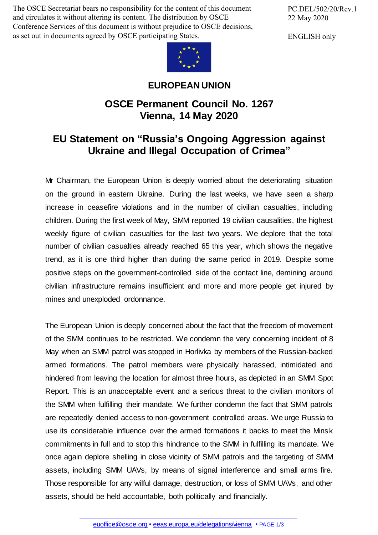The OSCE Secretariat bears no responsibility for the content of this document and circulates it without altering its content. The distribution by OSCE Conference Services of this document is without prejudice to OSCE decisions, as set out in documents agreed by OSCE participating States.

PC.DEL/502/20/Rev.1 22 May 2020

ENGLISH only



## **EUROPEAN UNION**

## **OSCE Permanent Council No. 1267 Vienna, 14 May 2020**

## **EU Statement on "Russia's Ongoing Aggression against Ukraine and Illegal Occupation of Crimea"**

Mr Chairman, the European Union is deeply worried about the deteriorating situation on the ground in eastern Ukraine. During the last weeks, we have seen a sharp increase in ceasefire violations and in the number of civilian casualties, including children. During the first week of May, SMM reported 19 civilian causalities, the highest weekly figure of civilian casualties for the last two years. We deplore that the total number of civilian casualties already reached 65 this year, which shows the negative trend, as it is one third higher than during the same period in 2019. Despite some positive steps on the government-controlled side of the contact line, demining around civilian infrastructure remains insufficient and more and more people get injured by mines and unexploded ordonnance.

The European Union is deeply concerned about the fact that the freedom of movement of the SMM continues to be restricted. We condemn the very concerning incident of 8 May when an SMM patrol was stopped in Horlivka by members of the Russian-backed armed formations. The patrol members were physically harassed, intimidated and hindered from leaving the location for almost three hours, as depicted in an SMM Spot Report. This is an unacceptable event and a serious threat to the civilian monitors of the SMM when fulfilling their mandate. We further condemn the fact that SMM patrols are repeatedly denied access to non-government controlled areas. We urge Russia to use its considerable influence over the armed formations it backs to meet the Minsk commitments in full and to stop this hindrance to the SMM in fulfilling its mandate. We once again deplore shelling in close vicinity of SMM patrols and the targeting of SMM assets, including SMM UAVs, by means of signal interference and small arms fire. Those responsible for any wilful damage, destruction, or loss of SMM UAVs, and other assets, should be held [accoun](mailto:euoffice@osce.org)table, both [politically](http://eeas.europa.eu/delegations/vienna) and financially.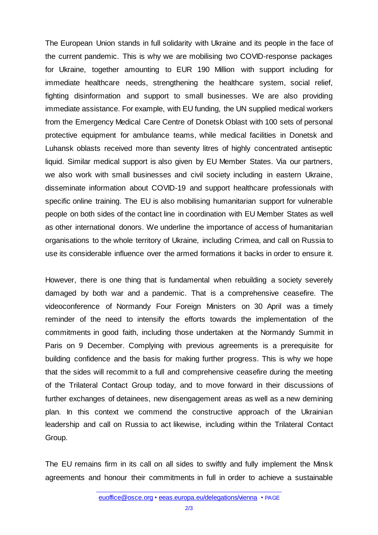The European Union stands in full solidarity with Ukraine and its people in the face of the current pandemic. This is why we are mobilising two COVID-response packages for Ukraine, together amounting to EUR 190 Million with support including for immediate healthcare needs, strengthening the healthcare system, social relief, fighting disinformation and support to small businesses. We are also providing immediate assistance. For example, with EU funding, the UN supplied medical workers from the Emergency Medical Care Centre of Donetsk Oblast with 100 sets of personal protective equipment for ambulance teams, while medical facilities in Donetsk and Luhansk oblasts received more than seventy litres of highly concentrated antiseptic liquid. Similar medical support is also given by EU Member States. Via our partners, we also work with small businesses and civil society including in eastern Ukraine, disseminate information about COVID-19 and support healthcare professionals with specific online training. The EU is also mobilising humanitarian support for vulnerable people on both sides of the contact line in coordination with EU Member States as well as other international donors. We underline the importance of access of humanitarian organisations to the whole territory of Ukraine, including Crimea, and call on Russia to use its considerable influence over the armed formations it backs in order to ensure it.

However, there is one thing that is fundamental when rebuilding a society severely damaged by both war and a pandemic. That is a comprehensive ceasefire. The videoconference of Normandy Four Foreign Ministers on 30 April was a timely reminder of the need to intensify the efforts towards the implementation of the commitments in good faith, including those undertaken at the Normandy Summit in Paris on 9 December. Complying with previous agreements is a prerequisite for building confidence and the basis for making further progress. This is why we hope that the sides will recommit to a full and comprehensive ceasefire during the meeting of the Trilateral Contact Group today, and to move forward in their discussions of further exchanges of detainees, new disengagement areas as well as a new demining plan. In this context we commend the constructive approach of the Ukrainian leadership and call on Russia to act likewise, including within the Trilateral Contact Group.

The EU remains firm in its call on all sides to swiftly and fully implement the Minsk agreements and honour their commitments in full in order to achieve a sustainable